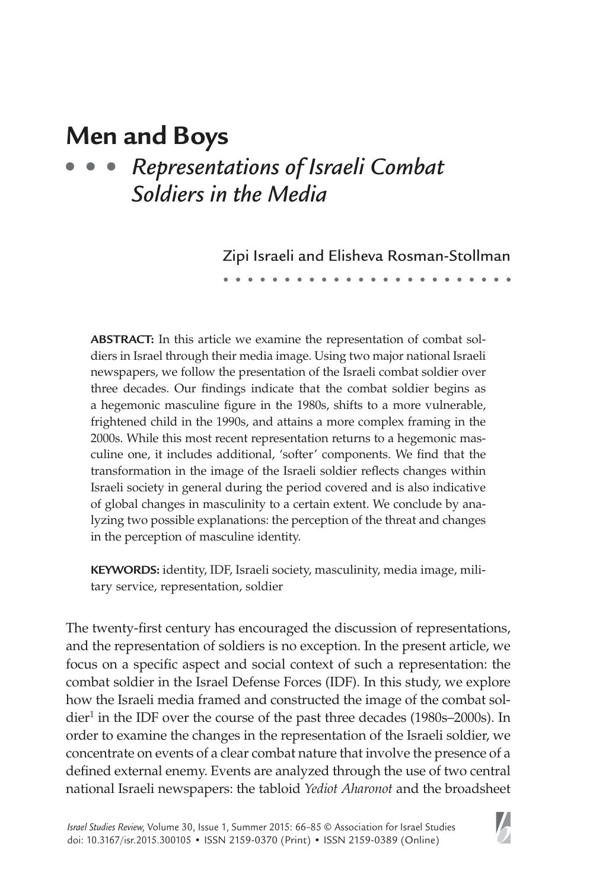# **Men and Boys**

## *Representations of Israeli Combat Soldiers in the Media*

Zipi Israeli and Elisheva Rosman-Stollman

 $\bullet$   $\bullet$  $\bullet$  $\bullet$ 

**Abstract:** In this article we examine the representation of combat soldiers in Israel through their media image. Using two major national Israeli newspapers, we follow the presentation of the Israeli combat soldier over three decades. Our findings indicate that the combat soldier begins as a hegemonic masculine figure in the 1980s, shifts to a more vulnerable, frightened child in the 1990s, and attains a more complex framing in the 2000s. While this most recent representation returns to a hegemonic masculine one, it includes additional, 'softer' components. We find that the transformation in the image of the Israeli soldier reflects changes within Israeli society in general during the period covered and is also indicative of global changes in masculinity to a certain extent. We conclude by analyzing two possible explanations: the perception of the threat and changes in the perception of masculine identity.

**KEYWORDS:** identity, IDF, Israeli society, masculinity, media image, military service, representation, soldier

The twenty-first century has encouraged the discussion of representations, and the representation of soldiers is no exception. In the present article, we focus on a specific aspect and social context of such a representation: the combat soldier in the Israel Defense Forces (IDF). In this study, we explore how the Israeli media framed and constructed the image of the combat soldier<sup>1</sup> in the IDF over the course of the past three decades (1980s–2000s). In order to examine the changes in the representation of the Israeli soldier, we concentrate on events of a clear combat nature that involve the presence of a defined external enemy. Events are analyzed through the use of two central national Israeli newspapers: the tabloid *Yediot Aharonot* and the broadsheet

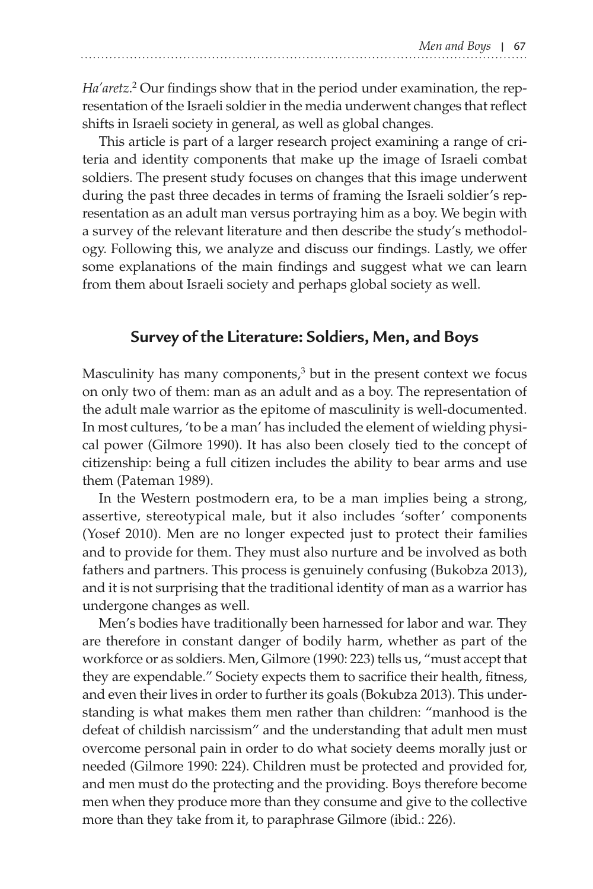Ha'aretz.<sup>2</sup> Our findings show that in the period under examination, the representation of the Israeli soldier in the media underwent changes that reflect shifts in Israeli society in general, as well as global changes.

This article is part of a larger research project examining a range of criteria and identity components that make up the image of Israeli combat soldiers. The present study focuses on changes that this image underwent during the past three decades in terms of framing the Israeli soldier's representation as an adult man versus portraying him as a boy. We begin with a survey of the relevant literature and then describe the study's methodology. Following this, we analyze and discuss our findings. Lastly, we offer some explanations of the main findings and suggest what we can learn from them about Israeli society and perhaps global society as well.

## **Survey of the Literature: Soldiers, Men, and Boys**

Masculinity has many components, $3$  but in the present context we focus on only two of them: man as an adult and as a boy. The representation of the adult male warrior as the epitome of masculinity is well-documented. In most cultures, 'to be a man' has included the element of wielding physical power (Gilmore 1990). It has also been closely tied to the concept of citizenship: being a full citizen includes the ability to bear arms and use them (Pateman 1989).

In the Western postmodern era, to be a man implies being a strong, assertive, stereotypical male, but it also includes 'softer' components (Yosef 2010). Men are no longer expected just to protect their families and to provide for them. They must also nurture and be involved as both fathers and partners. This process is genuinely confusing (Bukobza 2013), and it is not surprising that the traditional identity of man as a warrior has undergone changes as well.

Men's bodies have traditionally been harnessed for labor and war. They are therefore in constant danger of bodily harm, whether as part of the workforce or as soldiers. Men, Gilmore (1990: 223) tells us, "must accept that they are expendable." Society expects them to sacrifice their health, fitness, and even their lives in order to further its goals (Bokubza 2013). This understanding is what makes them men rather than children: "manhood is the defeat of childish narcissism" and the understanding that adult men must overcome personal pain in order to do what society deems morally just or needed (Gilmore 1990: 224). Children must be protected and provided for, and men must do the protecting and the providing. Boys therefore become men when they produce more than they consume and give to the collective more than they take from it, to paraphrase Gilmore (ibid.: 226).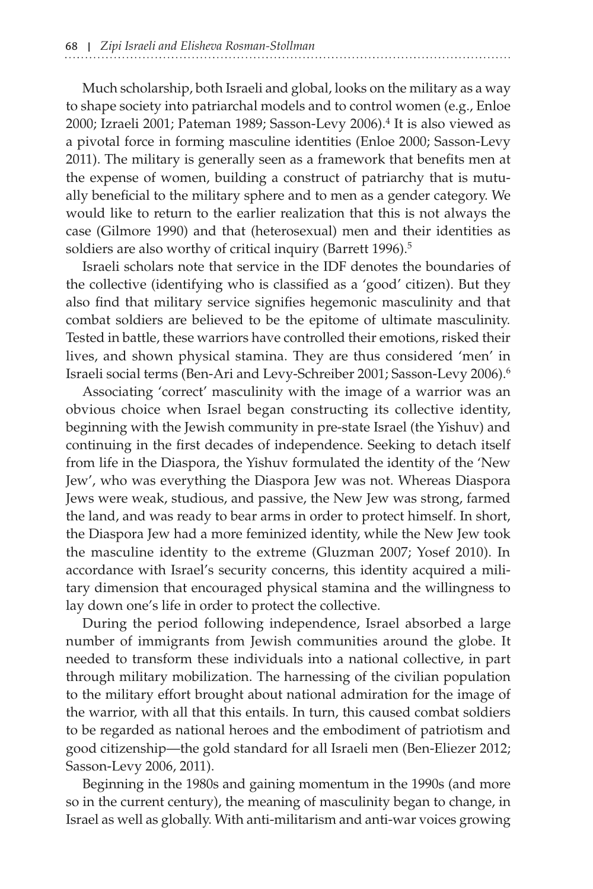Much scholarship, both Israeli and global, looks on the military as a way to shape society into patriarchal models and to control women (e.g., Enloe 2000; Izraeli 2001; Pateman 1989; Sasson-Levy 2006).<sup>4</sup> It is also viewed as a pivotal force in forming masculine identities (Enloe 2000; Sasson-Levy 2011). The military is generally seen as a framework that benefits men at the expense of women, building a construct of patriarchy that is mutually beneficial to the military sphere and to men as a gender category. We would like to return to the earlier realization that this is not always the case (Gilmore 1990) and that (heterosexual) men and their identities as soldiers are also worthy of critical inquiry (Barrett 1996).<sup>5</sup>

Israeli scholars note that service in the IDF denotes the boundaries of the collective (identifying who is classified as a 'good' citizen). But they also find that military service signifies hegemonic masculinity and that combat soldiers are believed to be the epitome of ultimate masculinity. Tested in battle, these warriors have controlled their emotions, risked their lives, and shown physical stamina. They are thus considered 'men' in Israeli social terms (Ben-Ari and Levy-Schreiber 2001; Sasson-Levy 2006).6

Associating 'correct' masculinity with the image of a warrior was an obvious choice when Israel began constructing its collective identity, beginning with the Jewish community in pre-state Israel (the Yishuv) and continuing in the first decades of independence. Seeking to detach itself from life in the Diaspora, the Yishuv formulated the identity of the 'New Jew', who was everything the Diaspora Jew was not. Whereas Diaspora Jews were weak, studious, and passive, the New Jew was strong, farmed the land, and was ready to bear arms in order to protect himself. In short, the Diaspora Jew had a more feminized identity, while the New Jew took the masculine identity to the extreme (Gluzman 2007; Yosef 2010). In accordance with Israel's security concerns, this identity acquired a military dimension that encouraged physical stamina and the willingness to lay down one's life in order to protect the collective.

During the period following independence, Israel absorbed a large number of immigrants from Jewish communities around the globe. It needed to transform these individuals into a national collective, in part through military mobilization. The harnessing of the civilian population to the military effort brought about national admiration for the image of the warrior, with all that this entails. In turn, this caused combat soldiers to be regarded as national heroes and the embodiment of patriotism and good citizenship—the gold standard for all Israeli men (Ben-Eliezer 2012; Sasson-Levy 2006, 2011).

Beginning in the 1980s and gaining momentum in the 1990s (and more so in the current century), the meaning of masculinity began to change, in Israel as well as globally. With anti-militarism and anti-war voices growing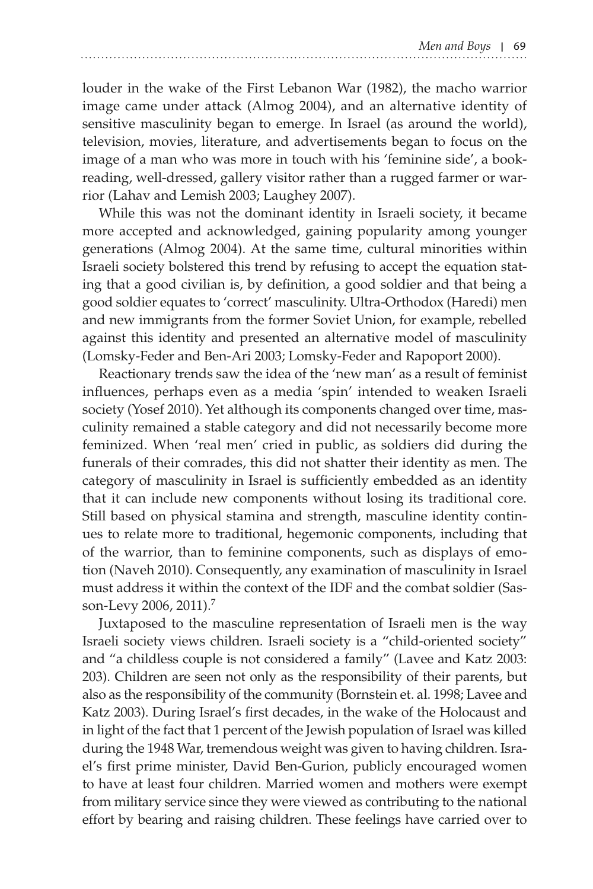louder in the wake of the First Lebanon War (1982), the macho warrior image came under attack (Almog 2004), and an alternative identity of sensitive masculinity began to emerge. In Israel (as around the world), television, movies, literature, and advertisements began to focus on the image of a man who was more in touch with his 'feminine side', a bookreading, well-dressed, gallery visitor rather than a rugged farmer or warrior (Lahav and Lemish 2003; Laughey 2007).

While this was not the dominant identity in Israeli society, it became more accepted and acknowledged, gaining popularity among younger generations (Almog 2004). At the same time, cultural minorities within Israeli society bolstered this trend by refusing to accept the equation stating that a good civilian is, by definition, a good soldier and that being a good soldier equates to 'correct' masculinity. Ultra-Orthodox (Haredi) men and new immigrants from the former Soviet Union, for example, rebelled against this identity and presented an alternative model of masculinity (Lomsky-Feder and Ben-Ari 2003; Lomsky-Feder and Rapoport 2000).

Reactionary trends saw the idea of the 'new man' as a result of feminist influences, perhaps even as a media 'spin' intended to weaken Israeli society (Yosef 2010). Yet although its components changed over time, masculinity remained a stable category and did not necessarily become more feminized. When 'real men' cried in public, as soldiers did during the funerals of their comrades, this did not shatter their identity as men. The category of masculinity in Israel is sufficiently embedded as an identity that it can include new components without losing its traditional core. Still based on physical stamina and strength, masculine identity continues to relate more to traditional, hegemonic components, including that of the warrior, than to feminine components, such as displays of emotion (Naveh 2010). Consequently, any examination of masculinity in Israel must address it within the context of the IDF and the combat soldier (Sasson-Levy 2006, 2011).7

Juxtaposed to the masculine representation of Israeli men is the way Israeli society views children. Israeli society is a "child-oriented society" and "a childless couple is not considered a family" (Lavee and Katz 2003: 203). Children are seen not only as the responsibility of their parents, but also as the responsibility of the community (Bornstein et. al. 1998; Lavee and Katz 2003). During Israel's first decades, in the wake of the Holocaust and in light of the fact that 1 percent of the Jewish population of Israel was killed during the 1948 War, tremendous weight was given to having children. Israel's first prime minister, David Ben-Gurion, publicly encouraged women to have at least four children. Married women and mothers were exempt from military service since they were viewed as contributing to the national effort by bearing and raising children. These feelings have carried over to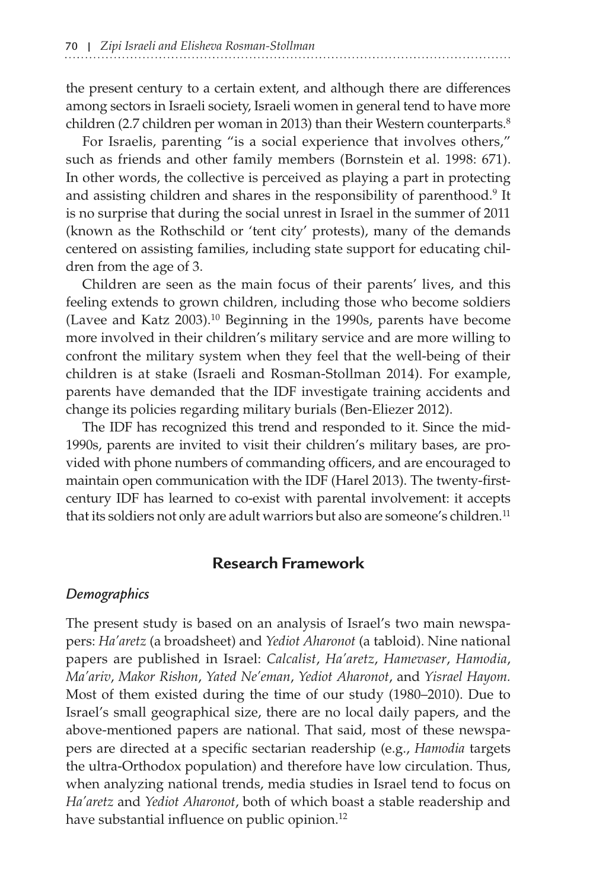the present century to a certain extent, and although there are differences among sectors in Israeli society, Israeli women in general tend to have more children (2.7 children per woman in 2013) than their Western counterparts.<sup>8</sup>

For Israelis, parenting "is a social experience that involves others," such as friends and other family members (Bornstein et al. 1998: 671). In other words, the collective is perceived as playing a part in protecting and assisting children and shares in the responsibility of parenthood.<sup>9</sup> It is no surprise that during the social unrest in Israel in the summer of 2011 (known as the Rothschild or 'tent city' protests), many of the demands centered on assisting families, including state support for educating children from the age of 3.

Children are seen as the main focus of their parents' lives, and this feeling extends to grown children, including those who become soldiers (Lavee and Katz 2003).10 Beginning in the 1990s, parents have become more involved in their children's military service and are more willing to confront the military system when they feel that the well-being of their children is at stake (Israeli and Rosman-Stollman 2014). For example, parents have demanded that the IDF investigate training accidents and change its policies regarding military burials (Ben-Eliezer 2012).

The IDF has recognized this trend and responded to it. Since the mid-1990s, parents are invited to visit their children's military bases, are provided with phone numbers of commanding officers, and are encouraged to maintain open communication with the IDF (Harel 2013). The twenty-firstcentury IDF has learned to co-exist with parental involvement: it accepts that its soldiers not only are adult warriors but also are someone's children.<sup>11</sup>

#### **Research Framework**

#### *Demographics*

The present study is based on an analysis of Israel's two main newspapers: *Ha'aretz* (a broadsheet) and *Yediot Aharonot* (a tabloid). Nine national papers are published in Israel: *Calcalist*, *Ha'aretz*, *Hamevaser*, *Hamodia*, *Ma'ariv*, *Makor Rishon*, *Yated Ne'eman*, *Yediot Aharonot*, and *Yisrael Hayom.* Most of them existed during the time of our study (1980–2010). Due to Israel's small geographical size, there are no local daily papers, and the above-mentioned papers are national. That said, most of these newspapers are directed at a specific sectarian readership (e.g., *Hamodia* targets the ultra-Orthodox population) and therefore have low circulation. Thus, when analyzing national trends, media studies in Israel tend to focus on *Ha'aretz* and *Yediot Aharonot*, both of which boast a stable readership and have substantial influence on public opinion.<sup>12</sup>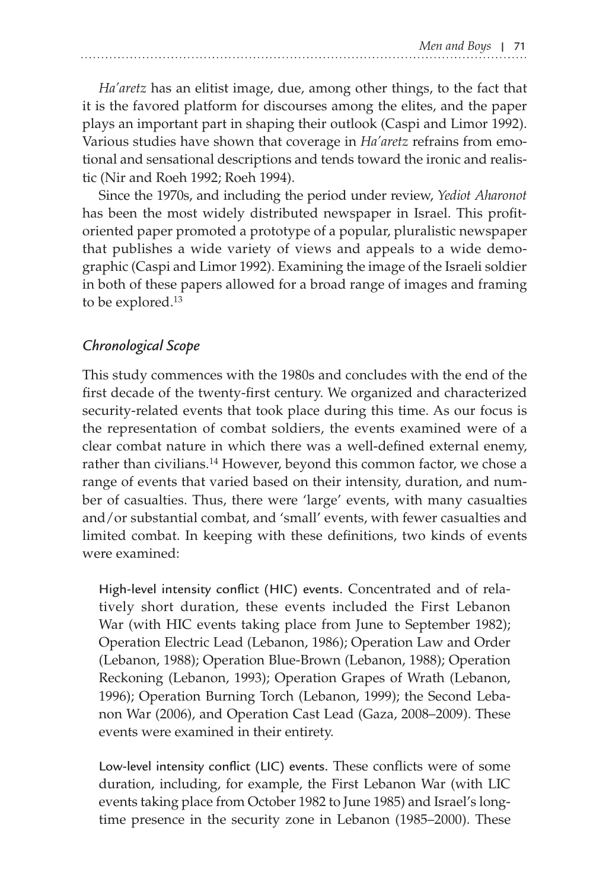*Ha'aretz* has an elitist image, due, among other things, to the fact that it is the favored platform for discourses among the elites, and the paper plays an important part in shaping their outlook (Caspi and Limor 1992). Various studies have shown that coverage in *Ha'aretz* refrains from emotional and sensational descriptions and tends toward the ironic and realistic (Nir and Roeh 1992; Roeh 1994).

Since the 1970s, and including the period under review, *Yediot Aharonot* has been the most widely distributed newspaper in Israel. This profitoriented paper promoted a prototype of a popular, pluralistic newspaper that publishes a wide variety of views and appeals to a wide demographic (Caspi and Limor 1992). Examining the image of the Israeli soldier in both of these papers allowed for a broad range of images and framing to be explored.13

## *Chronological Scope*

This study commences with the 1980s and concludes with the end of the first decade of the twenty-first century. We organized and characterized security-related events that took place during this time. As our focus is the representation of combat soldiers, the events examined were of a clear combat nature in which there was a well-defined external enemy, rather than civilians.<sup>14</sup> However, beyond this common factor, we chose a range of events that varied based on their intensity, duration, and number of casualties. Thus, there were 'large' events, with many casualties and/or substantial combat, and 'small' events, with fewer casualties and limited combat. In keeping with these definitions, two kinds of events were examined:

High-level intensity conflict (HIC) events. Concentrated and of relatively short duration, these events included the First Lebanon War (with HIC events taking place from June to September 1982); Operation Electric Lead (Lebanon, 1986); Operation Law and Order (Lebanon, 1988); Operation Blue-Brown (Lebanon, 1988); Operation Reckoning (Lebanon, 1993); Operation Grapes of Wrath (Lebanon, 1996); Operation Burning Torch (Lebanon, 1999); the Second Lebanon War (2006), and Operation Cast Lead (Gaza, 2008–2009). These events were examined in their entirety.

Low-level intensity conflict (LIC) events. These conflicts were of some duration, including, for example, the First Lebanon War (with LIC events taking place from October 1982 to June 1985) and Israel's longtime presence in the security zone in Lebanon (1985–2000). These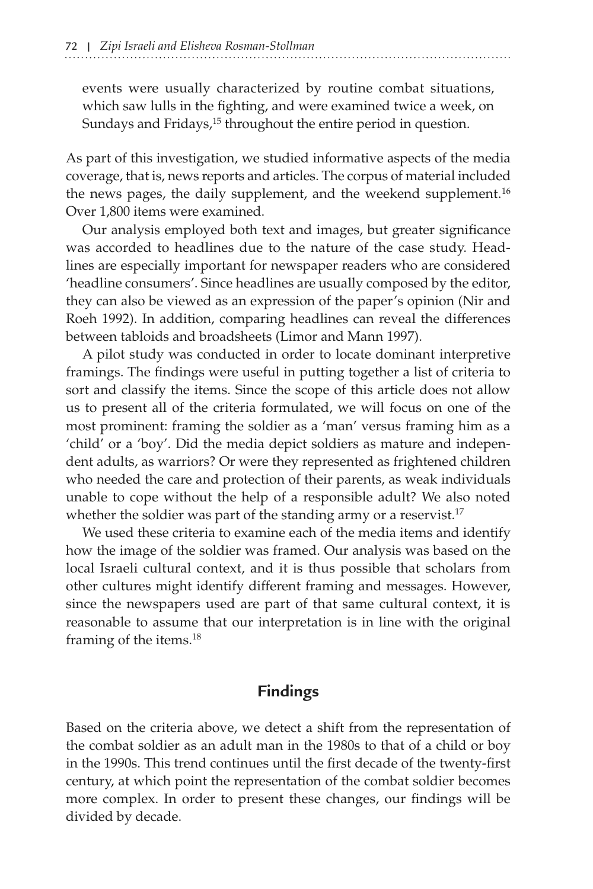events were usually characterized by routine combat situations, which saw lulls in the fighting, and were examined twice a week, on Sundays and Fridays,<sup>15</sup> throughout the entire period in question.

As part of this investigation, we studied informative aspects of the media coverage, that is, news reports and articles. The corpus of material included the news pages, the daily supplement, and the weekend supplement.<sup>16</sup> Over 1,800 items were examined.

Our analysis employed both text and images, but greater significance was accorded to headlines due to the nature of the case study. Headlines are especially important for newspaper readers who are considered 'headline consumers'. Since headlines are usually composed by the editor, they can also be viewed as an expression of the paper's opinion (Nir and Roeh 1992). In addition, comparing headlines can reveal the differences between tabloids and broadsheets (Limor and Mann 1997).

A pilot study was conducted in order to locate dominant interpretive framings. The findings were useful in putting together a list of criteria to sort and classify the items. Since the scope of this article does not allow us to present all of the criteria formulated, we will focus on one of the most prominent: framing the soldier as a 'man' versus framing him as a 'child' or a 'boy'. Did the media depict soldiers as mature and independent adults, as warriors? Or were they represented as frightened children who needed the care and protection of their parents, as weak individuals unable to cope without the help of a responsible adult? We also noted whether the soldier was part of the standing army or a reservist. $17$ 

We used these criteria to examine each of the media items and identify how the image of the soldier was framed. Our analysis was based on the local Israeli cultural context, and it is thus possible that scholars from other cultures might identify different framing and messages. However, since the newspapers used are part of that same cultural context, it is reasonable to assume that our interpretation is in line with the original framing of the items.18

## **Findings**

Based on the criteria above, we detect a shift from the representation of the combat soldier as an adult man in the 1980s to that of a child or boy in the 1990s. This trend continues until the first decade of the twenty-first century, at which point the representation of the combat soldier becomes more complex. In order to present these changes, our findings will be divided by decade.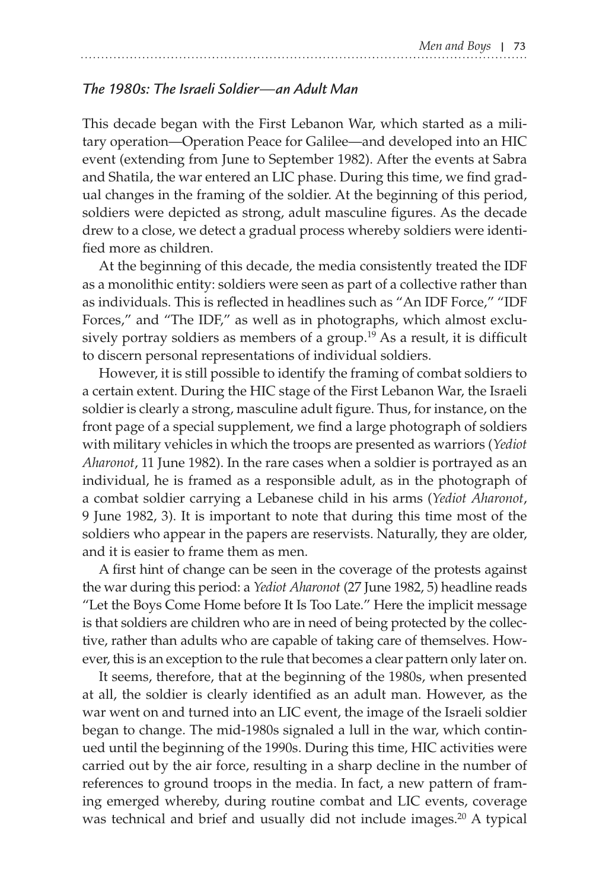#### *The 1980s: The Israeli Soldier—an Adult Man*

This decade began with the First Lebanon War, which started as a military operation—Operation Peace for Galilee—and developed into an HIC event (extending from June to September 1982). After the events at Sabra and Shatila, the war entered an LIC phase. During this time, we find gradual changes in the framing of the soldier. At the beginning of this period, soldiers were depicted as strong, adult masculine figures. As the decade drew to a close, we detect a gradual process whereby soldiers were identified more as children.

At the beginning of this decade, the media consistently treated the IDF as a monolithic entity: soldiers were seen as part of a collective rather than as individuals. This is reflected in headlines such as "An IDF Force," "IDF Forces," and "The IDF," as well as in photographs, which almost exclusively portray soldiers as members of a group.<sup>19</sup> As a result, it is difficult to discern personal representations of individual soldiers.

However, it is still possible to identify the framing of combat soldiers to a certain extent. During the HIC stage of the First Lebanon War, the Israeli soldier is clearly a strong, masculine adult figure. Thus, for instance, on the front page of a special supplement, we find a large photograph of soldiers with military vehicles in which the troops are presented as warriors (*Yediot Aharonot*, 11 June 1982). In the rare cases when a soldier is portrayed as an individual, he is framed as a responsible adult, as in the photograph of a combat soldier carrying a Lebanese child in his arms (*Yediot Aharonot*, 9 June 1982, 3). It is important to note that during this time most of the soldiers who appear in the papers are reservists. Naturally, they are older, and it is easier to frame them as men.

A first hint of change can be seen in the coverage of the protests against the war during this period: a *Yediot Aharonot* (27 June 1982, 5) headline reads "Let the Boys Come Home before It Is Too Late." Here the implicit message is that soldiers are children who are in need of being protected by the collective, rather than adults who are capable of taking care of themselves. However, this is an exception to the rule that becomes a clear pattern only later on.

It seems, therefore, that at the beginning of the 1980s, when presented at all, the soldier is clearly identified as an adult man. However, as the war went on and turned into an LIC event, the image of the Israeli soldier began to change. The mid-1980s signaled a lull in the war, which continued until the beginning of the 1990s. During this time, HIC activities were carried out by the air force, resulting in a sharp decline in the number of references to ground troops in the media. In fact, a new pattern of framing emerged whereby, during routine combat and LIC events, coverage was technical and brief and usually did not include images.<sup>20</sup> A typical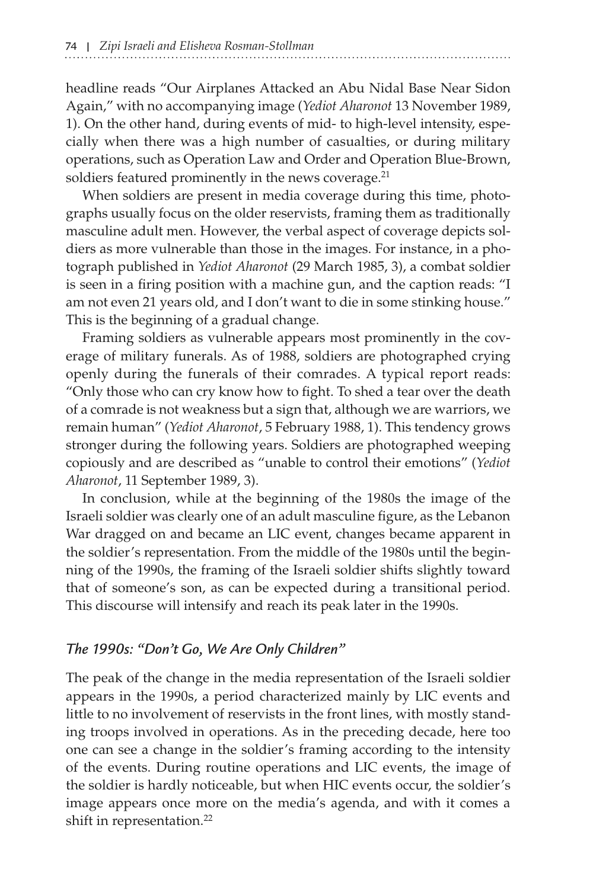headline reads "Our Airplanes Attacked an Abu Nidal Base Near Sidon Again," with no accompanying image (*Yediot Aharonot* 13 November 1989, 1). On the other hand, during events of mid- to high-level intensity, especially when there was a high number of casualties, or during military operations, such as Operation Law and Order and Operation Blue-Brown, soldiers featured prominently in the news coverage.<sup>21</sup>

When soldiers are present in media coverage during this time, photographs usually focus on the older reservists, framing them as traditionally masculine adult men. However, the verbal aspect of coverage depicts soldiers as more vulnerable than those in the images. For instance, in a photograph published in *Yediot Aharonot* (29 March 1985, 3), a combat soldier is seen in a firing position with a machine gun, and the caption reads: "I am not even 21 years old, and I don't want to die in some stinking house." This is the beginning of a gradual change.

Framing soldiers as vulnerable appears most prominently in the coverage of military funerals. As of 1988, soldiers are photographed crying openly during the funerals of their comrades. A typical report reads: "Only those who can cry know how to fight. To shed a tear over the death of a comrade is not weakness but a sign that, although we are warriors, we remain human" (*Yediot Aharonot*, 5 February 1988, 1). This tendency grows stronger during the following years. Soldiers are photographed weeping copiously and are described as "unable to control their emotions" (*Yediot Aharonot*, 11 September 1989, 3).

In conclusion, while at the beginning of the 1980s the image of the Israeli soldier was clearly one of an adult masculine figure, as the Lebanon War dragged on and became an LIC event, changes became apparent in the soldier's representation. From the middle of the 1980s until the beginning of the 1990s, the framing of the Israeli soldier shifts slightly toward that of someone's son, as can be expected during a transitional period. This discourse will intensify and reach its peak later in the 1990s.

## *The 1990s: "Don't Go, We Are Only Children"*

The peak of the change in the media representation of the Israeli soldier appears in the 1990s, a period characterized mainly by LIC events and little to no involvement of reservists in the front lines, with mostly standing troops involved in operations. As in the preceding decade, here too one can see a change in the soldier's framing according to the intensity of the events. During routine operations and LIC events, the image of the soldier is hardly noticeable, but when HIC events occur, the soldier's image appears once more on the media's agenda, and with it comes a shift in representation.<sup>22</sup>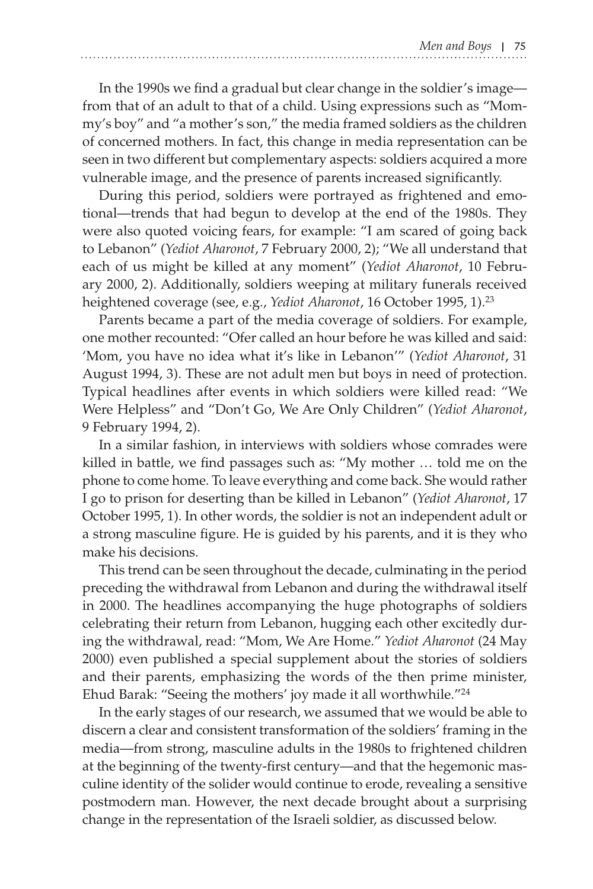In the 1990s we find a gradual but clear change in the soldier's image from that of an adult to that of a child. Using expressions such as "Mommy's boy" and "a mother's son," the media framed soldiers as the children of concerned mothers. In fact, this change in media representation can be seen in two different but complementary aspects: soldiers acquired a more vulnerable image, and the presence of parents increased significantly.

During this period, soldiers were portrayed as frightened and emotional—trends that had begun to develop at the end of the 1980s. They were also quoted voicing fears, for example: "I am scared of going back to Lebanon" (*Yediot Aharonot*, 7 February 2000, 2); "We all understand that each of us might be killed at any moment" (*Yediot Aharonot*, 10 February 2000, 2). Additionally, soldiers weeping at military funerals received heightened coverage (see, e.g., *Yediot Aharonot*, 16 October 1995, 1).23

Parents became a part of the media coverage of soldiers. For example, one mother recounted: "Ofer called an hour before he was killed and said: 'Mom, you have no idea what it's like in Lebanon'" (*Yediot Aharonot*, 31 August 1994, 3). These are not adult men but boys in need of protection. Typical headlines after events in which soldiers were killed read: "We Were Helpless" and "Don't Go, We Are Only Children" (*Yediot Aharonot*, 9 February 1994, 2).

In a similar fashion, in interviews with soldiers whose comrades were killed in battle, we find passages such as: "My mother … told me on the phone to come home. To leave everything and come back. She would rather I go to prison for deserting than be killed in Lebanon" (*Yediot Aharonot*, 17 October 1995, 1). In other words, the soldier is not an independent adult or a strong masculine figure. He is guided by his parents, and it is they who make his decisions.

This trend can be seen throughout the decade, culminating in the period preceding the withdrawal from Lebanon and during the withdrawal itself in 2000. The headlines accompanying the huge photographs of soldiers celebrating their return from Lebanon, hugging each other excitedly during the withdrawal, read: "Mom, We Are Home." *Yediot Aharonot* (24 May 2000) even published a special supplement about the stories of soldiers and their parents, emphasizing the words of the then prime minister, Ehud Barak: "Seeing the mothers' joy made it all worthwhile."24

In the early stages of our research, we assumed that we would be able to discern a clear and consistent transformation of the soldiers' framing in the media—from strong, masculine adults in the 1980s to frightened children at the beginning of the twenty-first century—and that the hegemonic masculine identity of the solider would continue to erode, revealing a sensitive postmodern man. However, the next decade brought about a surprising change in the representation of the Israeli soldier, as discussed below.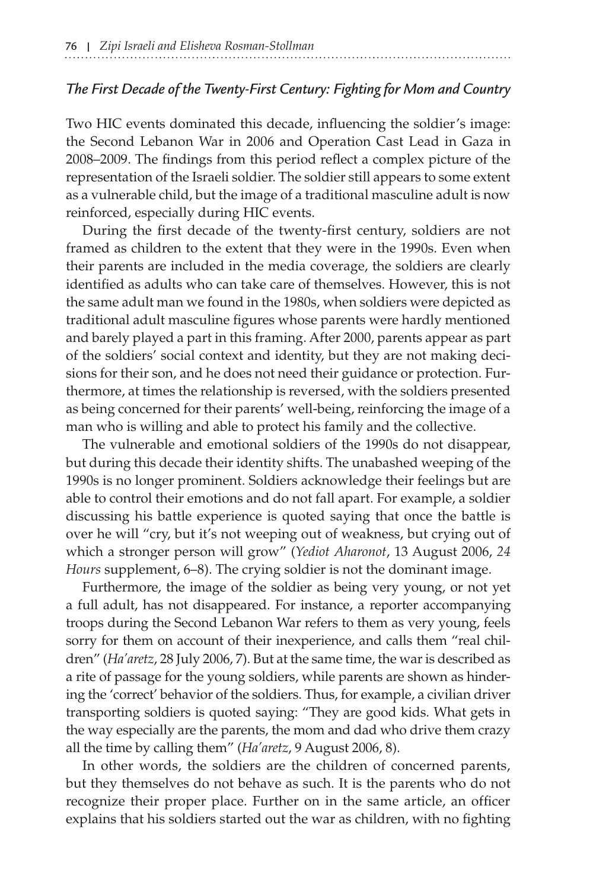#### *The First Decade of the Twenty-First Century: Fighting for Mom and Country*

Two HIC events dominated this decade, influencing the soldier's image: the Second Lebanon War in 2006 and Operation Cast Lead in Gaza in 2008–2009. The findings from this period reflect a complex picture of the representation of the Israeli soldier. The soldier still appears to some extent as a vulnerable child, but the image of a traditional masculine adult is now reinforced, especially during HIC events.

During the first decade of the twenty-first century, soldiers are not framed as children to the extent that they were in the 1990s. Even when their parents are included in the media coverage, the soldiers are clearly identified as adults who can take care of themselves. However, this is not the same adult man we found in the 1980s, when soldiers were depicted as traditional adult masculine figures whose parents were hardly mentioned and barely played a part in this framing. After 2000, parents appear as part of the soldiers' social context and identity, but they are not making decisions for their son, and he does not need their guidance or protection. Furthermore, at times the relationship is reversed, with the soldiers presented as being concerned for their parents' well-being, reinforcing the image of a man who is willing and able to protect his family and the collective.

The vulnerable and emotional soldiers of the 1990s do not disappear, but during this decade their identity shifts. The unabashed weeping of the 1990s is no longer prominent. Soldiers acknowledge their feelings but are able to control their emotions and do not fall apart. For example, a soldier discussing his battle experience is quoted saying that once the battle is over he will "cry, but it's not weeping out of weakness, but crying out of which a stronger person will grow" (*Yediot Aharonot*, 13 August 2006, *24 Hours* supplement, 6–8). The crying soldier is not the dominant image.

Furthermore, the image of the soldier as being very young, or not yet a full adult, has not disappeared. For instance, a reporter accompanying troops during the Second Lebanon War refers to them as very young, feels sorry for them on account of their inexperience, and calls them "real children" (*Ha'aretz*, 28 July 2006, 7). But at the same time, the war is described as a rite of passage for the young soldiers, while parents are shown as hindering the 'correct' behavior of the soldiers. Thus, for example, a civilian driver transporting soldiers is quoted saying: "They are good kids. What gets in the way especially are the parents, the mom and dad who drive them crazy all the time by calling them" (*Ha'aretz*, 9 August 2006, 8).

In other words, the soldiers are the children of concerned parents, but they themselves do not behave as such. It is the parents who do not recognize their proper place. Further on in the same article, an officer explains that his soldiers started out the war as children, with no fighting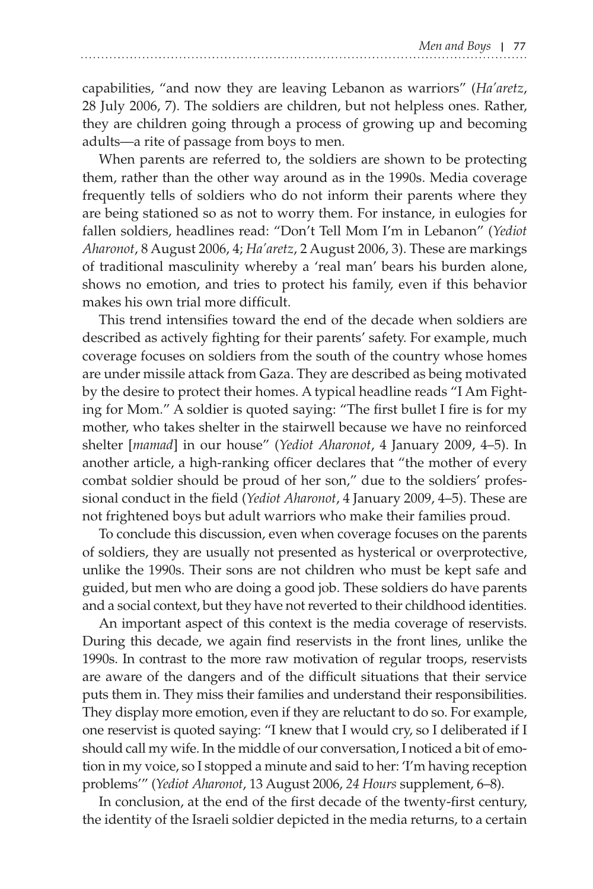capabilities, "and now they are leaving Lebanon as warriors" (*Ha'aretz*, 28 July 2006, 7). The soldiers are children, but not helpless ones. Rather, they are children going through a process of growing up and becoming adults—a rite of passage from boys to men.

When parents are referred to, the soldiers are shown to be protecting them, rather than the other way around as in the 1990s. Media coverage frequently tells of soldiers who do not inform their parents where they are being stationed so as not to worry them. For instance, in eulogies for fallen soldiers, headlines read: "Don't Tell Mom I'm in Lebanon" (*Yediot Aharonot*, 8 August 2006, 4; *Ha'aretz*, 2 August 2006, 3). These are markings of traditional masculinity whereby a 'real man' bears his burden alone, shows no emotion, and tries to protect his family, even if this behavior makes his own trial more difficult.

This trend intensifies toward the end of the decade when soldiers are described as actively fighting for their parents' safety. For example, much coverage focuses on soldiers from the south of the country whose homes are under missile attack from Gaza. They are described as being motivated by the desire to protect their homes. A typical headline reads "I Am Fighting for Mom." A soldier is quoted saying: "The first bullet I fire is for my mother, who takes shelter in the stairwell because we have no reinforced shelter [*mamad*] in our house" (*Yediot Aharonot*, 4 January 2009, 4–5). In another article, a high-ranking officer declares that "the mother of every combat soldier should be proud of her son," due to the soldiers' professional conduct in the field (*Yediot Aharonot*, 4 January 2009, 4–5). These are not frightened boys but adult warriors who make their families proud.

To conclude this discussion, even when coverage focuses on the parents of soldiers, they are usually not presented as hysterical or overprotective, unlike the 1990s. Their sons are not children who must be kept safe and guided, but men who are doing a good job. These soldiers do have parents and a social context, but they have not reverted to their childhood identities.

An important aspect of this context is the media coverage of reservists. During this decade, we again find reservists in the front lines, unlike the 1990s. In contrast to the more raw motivation of regular troops, reservists are aware of the dangers and of the difficult situations that their service puts them in. They miss their families and understand their responsibilities. They display more emotion, even if they are reluctant to do so. For example, one reservist is quoted saying: "I knew that I would cry, so I deliberated if I should call my wife. In the middle of our conversation, I noticed a bit of emotion in my voice, so I stopped a minute and said to her: 'I'm having reception problems'" (*Yediot Aharonot*, 13 August 2006, *24 Hours* supplement, 6–8).

In conclusion, at the end of the first decade of the twenty-first century, the identity of the Israeli soldier depicted in the media returns, to a certain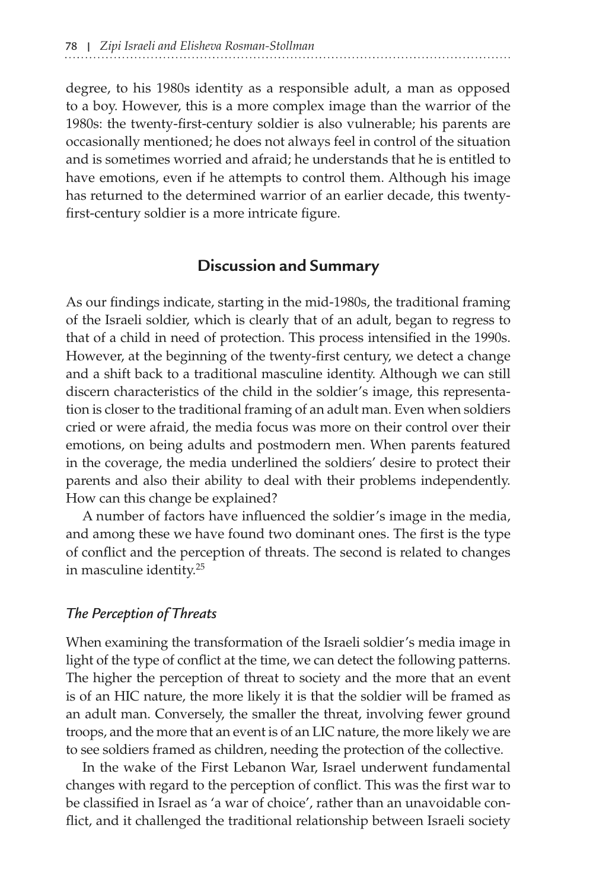degree, to his 1980s identity as a responsible adult, a man as opposed to a boy. However, this is a more complex image than the warrior of the 1980s: the twenty-first-century soldier is also vulnerable; his parents are occasionally mentioned; he does not always feel in control of the situation and is sometimes worried and afraid; he understands that he is entitled to have emotions, even if he attempts to control them. Although his image has returned to the determined warrior of an earlier decade, this twentyfirst-century soldier is a more intricate figure.

## **Discussion and Summary**

As our findings indicate, starting in the mid-1980s, the traditional framing of the Israeli soldier, which is clearly that of an adult, began to regress to that of a child in need of protection. This process intensified in the 1990s. However, at the beginning of the twenty-first century, we detect a change and a shift back to a traditional masculine identity. Although we can still discern characteristics of the child in the soldier's image, this representation is closer to the traditional framing of an adult man. Even when soldiers cried or were afraid, the media focus was more on their control over their emotions, on being adults and postmodern men. When parents featured in the coverage, the media underlined the soldiers' desire to protect their parents and also their ability to deal with their problems independently. How can this change be explained?

A number of factors have influenced the soldier's image in the media, and among these we have found two dominant ones. The first is the type of conflict and the perception of threats. The second is related to changes in masculine identity.25

#### *The Perception of Threats*

When examining the transformation of the Israeli soldier's media image in light of the type of conflict at the time, we can detect the following patterns. The higher the perception of threat to society and the more that an event is of an HIC nature, the more likely it is that the soldier will be framed as an adult man. Conversely, the smaller the threat, involving fewer ground troops, and the more that an event is of an LIC nature, the more likely we are to see soldiers framed as children, needing the protection of the collective.

In the wake of the First Lebanon War, Israel underwent fundamental changes with regard to the perception of conflict. This was the first war to be classified in Israel as 'a war of choice', rather than an unavoidable conflict, and it challenged the traditional relationship between Israeli society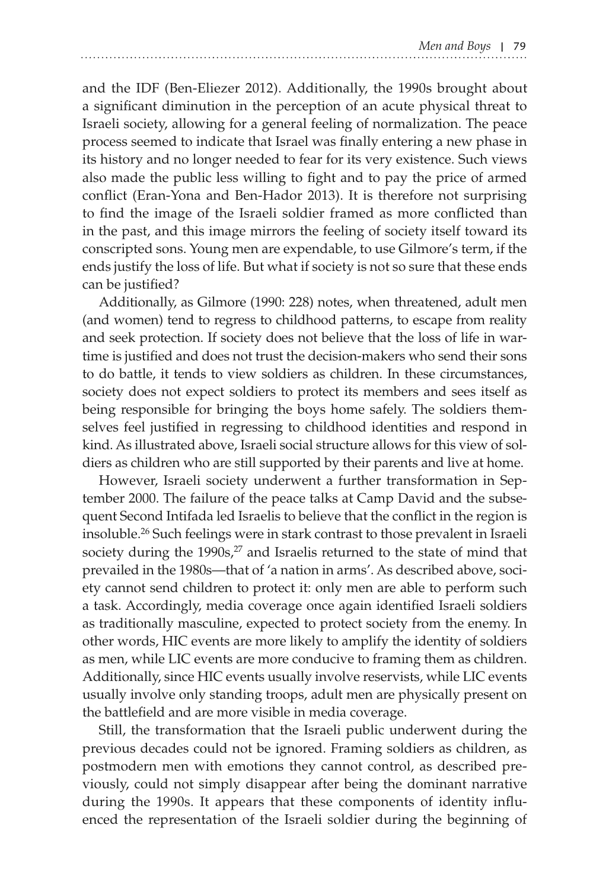and the IDF (Ben-Eliezer 2012). Additionally, the 1990s brought about a significant diminution in the perception of an acute physical threat to Israeli society, allowing for a general feeling of normalization. The peace process seemed to indicate that Israel was finally entering a new phase in its history and no longer needed to fear for its very existence. Such views also made the public less willing to fight and to pay the price of armed conflict (Eran-Yona and Ben-Hador 2013). It is therefore not surprising to find the image of the Israeli soldier framed as more conflicted than in the past, and this image mirrors the feeling of society itself toward its conscripted sons. Young men are expendable, to use Gilmore's term, if the ends justify the loss of life. But what if society is not so sure that these ends can be justified?

Additionally, as Gilmore (1990: 228) notes, when threatened, adult men (and women) tend to regress to childhood patterns, to escape from reality and seek protection. If society does not believe that the loss of life in wartime is justified and does not trust the decision-makers who send their sons to do battle, it tends to view soldiers as children. In these circumstances, society does not expect soldiers to protect its members and sees itself as being responsible for bringing the boys home safely. The soldiers themselves feel justified in regressing to childhood identities and respond in kind. As illustrated above, Israeli social structure allows for this view of soldiers as children who are still supported by their parents and live at home.

However, Israeli society underwent a further transformation in September 2000. The failure of the peace talks at Camp David and the subsequent Second Intifada led Israelis to believe that the conflict in the region is insoluble.26 Such feelings were in stark contrast to those prevalent in Israeli society during the  $1990s$ ,<sup>27</sup> and Israelis returned to the state of mind that prevailed in the 1980s—that of 'a nation in arms'. As described above, society cannot send children to protect it: only men are able to perform such a task. Accordingly, media coverage once again identified Israeli soldiers as traditionally masculine, expected to protect society from the enemy. In other words, HIC events are more likely to amplify the identity of soldiers as men, while LIC events are more conducive to framing them as children. Additionally, since HIC events usually involve reservists, while LIC events usually involve only standing troops, adult men are physically present on the battlefield and are more visible in media coverage.

Still, the transformation that the Israeli public underwent during the previous decades could not be ignored. Framing soldiers as children, as postmodern men with emotions they cannot control, as described previously, could not simply disappear after being the dominant narrative during the 1990s. It appears that these components of identity influenced the representation of the Israeli soldier during the beginning of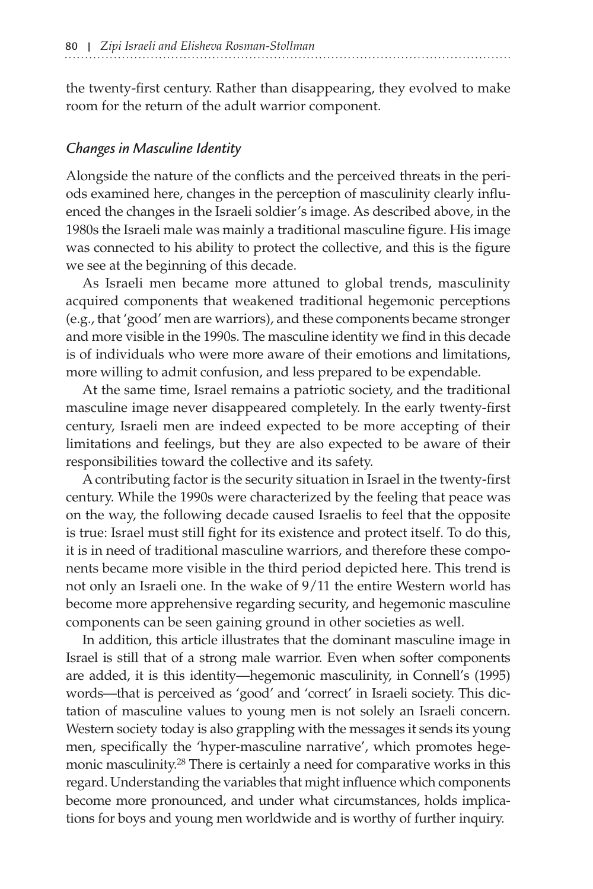the twenty-first century. Rather than disappearing, they evolved to make room for the return of the adult warrior component.

#### *Changes in Masculine Identity*

Alongside the nature of the conflicts and the perceived threats in the periods examined here, changes in the perception of masculinity clearly influenced the changes in the Israeli soldier's image. As described above, in the 1980s the Israeli male was mainly a traditional masculine figure. His image was connected to his ability to protect the collective, and this is the figure we see at the beginning of this decade.

As Israeli men became more attuned to global trends, masculinity acquired components that weakened traditional hegemonic perceptions (e.g., that 'good' men are warriors), and these components became stronger and more visible in the 1990s. The masculine identity we find in this decade is of individuals who were more aware of their emotions and limitations, more willing to admit confusion, and less prepared to be expendable.

At the same time, Israel remains a patriotic society, and the traditional masculine image never disappeared completely. In the early twenty-first century, Israeli men are indeed expected to be more accepting of their limitations and feelings, but they are also expected to be aware of their responsibilities toward the collective and its safety.

A contributing factor is the security situation in Israel in the twenty-first century. While the 1990s were characterized by the feeling that peace was on the way, the following decade caused Israelis to feel that the opposite is true: Israel must still fight for its existence and protect itself. To do this, it is in need of traditional masculine warriors, and therefore these components became more visible in the third period depicted here. This trend is not only an Israeli one. In the wake of 9/11 the entire Western world has become more apprehensive regarding security, and hegemonic masculine components can be seen gaining ground in other societies as well.

In addition, this article illustrates that the dominant masculine image in Israel is still that of a strong male warrior. Even when softer components are added, it is this identity—hegemonic masculinity, in Connell's (1995) words—that is perceived as 'good' and 'correct' in Israeli society. This dictation of masculine values to young men is not solely an Israeli concern. Western society today is also grappling with the messages it sends its young men, specifically the 'hyper-masculine narrative', which promotes hegemonic masculinity.<sup>28</sup> There is certainly a need for comparative works in this regard. Understanding the variables that might influence which components become more pronounced, and under what circumstances, holds implications for boys and young men worldwide and is worthy of further inquiry.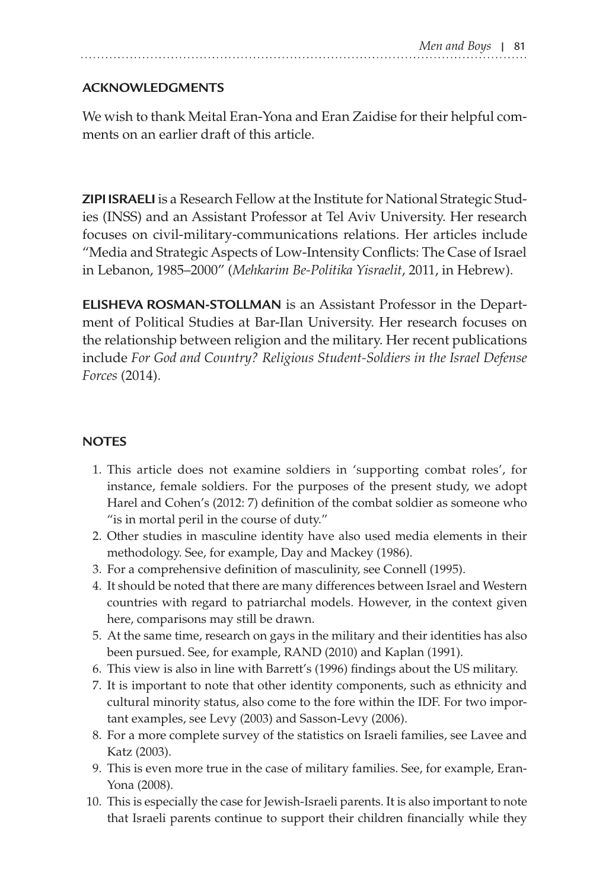## **Acknowledgments**

We wish to thank Meital Eran-Yona and Eran Zaidise for their helpful comments on an earlier draft of this article.

**Zipi Israeli** is a Research Fellow at the Institute for National Strategic Studies (INSS) and an Assistant Professor at Tel Aviv University. Her research focuses on civil-military-communications relations. Her articles include "Media and Strategic Aspects of Low-Intensity Conflicts: The Case of Israel in Lebanon, 1985–2000" (*Mehkarim Be-Politika Yisraelit*, 2011, in Hebrew).

**Elisheva Rosman-Stollman** is an Assistant Professor in the Department of Political Studies at Bar-Ilan University. Her research focuses on the relationship between religion and the military. Her recent publications include *For God and Country? Religious Student-Soldiers in the Israel Defense Forces* (2014).

#### **Notes**

- 1. This article does not examine soldiers in 'supporting combat roles', for instance, female soldiers. For the purposes of the present study, we adopt Harel and Cohen's (2012: 7) definition of the combat soldier as someone who "is in mortal peril in the course of duty."
- 2. Other studies in masculine identity have also used media elements in their methodology. See, for example, Day and Mackey (1986).
- 3. For a comprehensive definition of masculinity, see Connell (1995).
- 4. It should be noted that there are many differences between Israel and Western countries with regard to patriarchal models. However, in the context given here, comparisons may still be drawn.
- 5. At the same time, research on gays in the military and their identities has also been pursued. See, for example, RAND (2010) and Kaplan (1991).
- 6. This view is also in line with Barrett's (1996) findings about the US military.
- 7. It is important to note that other identity components, such as ethnicity and cultural minority status, also come to the fore within the IDF. For two important examples, see Levy (2003) and Sasson-Levy (2006).
- 8. For a more complete survey of the statistics on Israeli families, see Lavee and Katz (2003).
- 9. This is even more true in the case of military families. See, for example, Eran-Yona (2008).
- 10. This is especially the case for Jewish-Israeli parents. It is also important to note that Israeli parents continue to support their children financially while they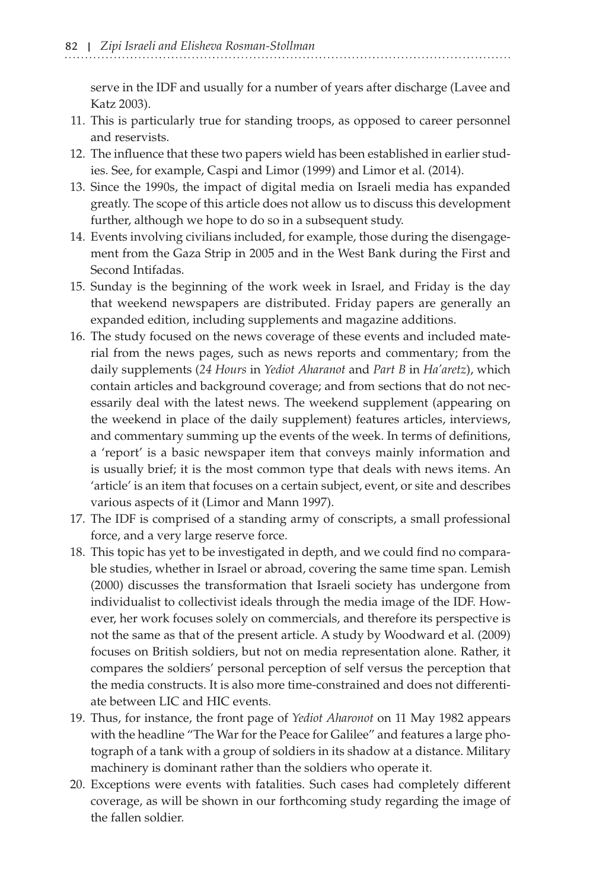serve in the IDF and usually for a number of years after discharge (Lavee and Katz 2003).

- 11. This is particularly true for standing troops, as opposed to career personnel and reservists.
- 12. The influence that these two papers wield has been established in earlier studies. See, for example, Caspi and Limor (1999) and Limor et al. (2014).
- 13. Since the 1990s, the impact of digital media on Israeli media has expanded greatly. The scope of this article does not allow us to discuss this development further, although we hope to do so in a subsequent study.
- 14. Events involving civilians included, for example, those during the disengagement from the Gaza Strip in 2005 and in the West Bank during the First and Second Intifadas.
- 15. Sunday is the beginning of the work week in Israel, and Friday is the day that weekend newspapers are distributed. Friday papers are generally an expanded edition, including supplements and magazine additions.
- 16. The study focused on the news coverage of these events and included material from the news pages, such as news reports and commentary; from the daily supplements (*24 Hours* in *Yediot Aharanot* and *Part B* in *Ha'aretz*), which contain articles and background coverage; and from sections that do not necessarily deal with the latest news. The weekend supplement (appearing on the weekend in place of the daily supplement) features articles, interviews, and commentary summing up the events of the week. In terms of definitions, a 'report' is a basic newspaper item that conveys mainly information and is usually brief; it is the most common type that deals with news items. An 'article' is an item that focuses on a certain subject, event, or site and describes various aspects of it (Limor and Mann 1997).
- 17. The IDF is comprised of a standing army of conscripts, a small professional force, and a very large reserve force.
- 18. This topic has yet to be investigated in depth, and we could find no comparable studies, whether in Israel or abroad, covering the same time span. Lemish (2000) discusses the transformation that Israeli society has undergone from individualist to collectivist ideals through the media image of the IDF. However, her work focuses solely on commercials, and therefore its perspective is not the same as that of the present article. A study by Woodward et al. (2009) focuses on British soldiers, but not on media representation alone. Rather, it compares the soldiers' personal perception of self versus the perception that the media constructs. It is also more time-constrained and does not differentiate between LIC and HIC events.
- 19. Thus, for instance, the front page of *Yediot Aharonot* on 11 May 1982 appears with the headline "The War for the Peace for Galilee" and features a large photograph of a tank with a group of soldiers in its shadow at a distance. Military machinery is dominant rather than the soldiers who operate it.
- 20. Exceptions were events with fatalities. Such cases had completely different coverage, as will be shown in our forthcoming study regarding the image of the fallen soldier.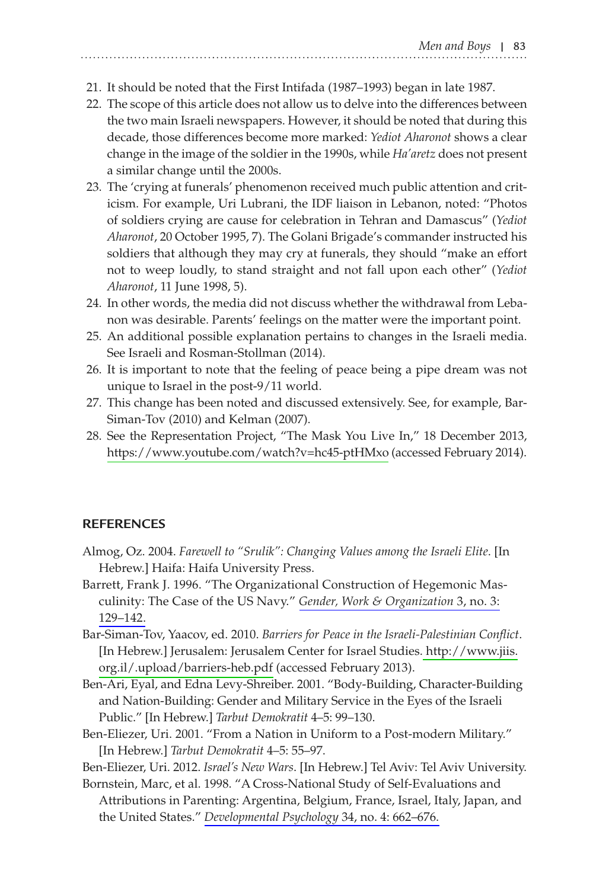- 21. It should be noted that the First Intifada (1987–1993) began in late 1987.
- 22. The scope of this article does not allow us to delve into the differences between the two main Israeli newspapers. However, it should be noted that during this decade, those differences become more marked: *Yediot Aharonot* shows a clear change in the image of the soldier in the 1990s, while *Ha'aretz* does not present a similar change until the 2000s.
- 23. The 'crying at funerals' phenomenon received much public attention and criticism. For example, Uri Lubrani, the IDF liaison in Lebanon, noted: "Photos of soldiers crying are cause for celebration in Tehran and Damascus" (*Yediot Aharonot*, 20 October 1995, 7). The Golani Brigade's commander instructed his soldiers that although they may cry at funerals, they should "make an effort not to weep loudly, to stand straight and not fall upon each other" (*Yediot Aharonot*, 11 June 1998, 5).
- 24. In other words, the media did not discuss whether the withdrawal from Lebanon was desirable. Parents' feelings on the matter were the important point.
- 25. An additional possible explanation pertains to changes in the Israeli media. See Israeli and Rosman-Stollman (2014).
- 26. It is important to note that the feeling of peace being a pipe dream was not unique to Israel in the post-9/11 world.
- 27. This change has been noted and discussed extensively. See, for example, Bar-Siman-Tov (2010) and Kelman (2007).
- 28. See the Representation Project, "The Mask You Live In," 18 December 2013, [https://www.youtube.com/watch?v=hc45-ptHMxo](http://www.youtube.com/watch?v=hc45-ptHMxo) (accessed February 2014).

#### **RefeRences**

- Almog, Oz. 2004. *Farewell to "Srulik": Changing Values among the Israeli Elite*. [In Hebrew.] Haifa: Haifa University Press.
- Barrett, Frank J. 1996. "The Organizational Construction of Hegemonic Masculinity: The Case of the US Navy." *[Gender, Work & Organization](http://www.ingentaconnect.com/content/external-references?article=0968-6673()3:3L.129[aid=10566542])* 3, no. 3: [129–142.](http://www.ingentaconnect.com/content/external-references?article=0968-6673()3:3L.129[aid=10566542])
- Bar-Siman-Tov, Yaacov, ed. 2010. *Barriers for Peace in the Israeli-Palestinian Conflict*. [In Hebrew.] Jerusalem: Jerusalem Center for Israel Studies[. http://www.jiis.](http://www.jiis.org.il/.upload/barriers-heb.pdf) [org.il/.upload/barriers-heb.pdf](http://www.jiis.org.il/.upload/barriers-heb.pdf) (accessed February 2013).
- Ben-Ari, Eyal, and Edna Levy-Shreiber. 2001. "Body-Building, Character-Building and Nation-Building: Gender and Military Service in the Eyes of the Israeli Public." [In Hebrew.] *Tarbut Demokratit* 4–5: 99–130.
- Ben-Eliezer, Uri. 2001. "From a Nation in Uniform to a Post-modern Military." [In Hebrew.] *Tarbut Demokratit* 4–5: 55–97.
- Ben-Eliezer, Uri. 2012. *Israel's New Wars*. [In Hebrew.] Tel Aviv: Tel Aviv University.
- Bornstein, Marc, et al. 1998. "A Cross-National Study of Self-Evaluations and Attributions in Parenting: Argentina, Belgium, France, Israel, Italy, Japan, and the United States." *[Developmental Psychology](http://www.ingentaconnect.com/content/external-references?article=0012-1649()34:4L.662[aid=9387363])* 34, no. 4: 662–676.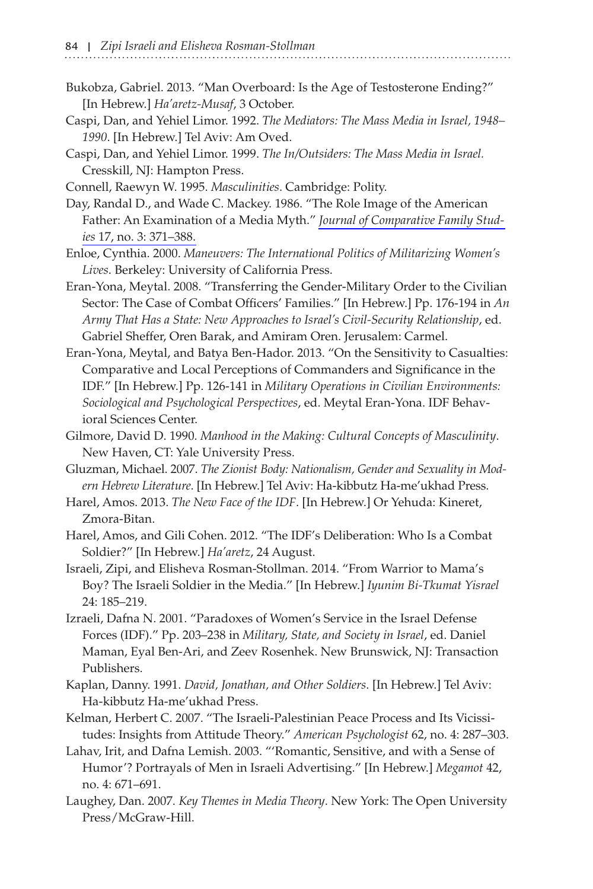- Bukobza, Gabriel. 2013. "Man Overboard: Is the Age of Testosterone Ending?" [In Hebrew.] *Ha'aretz-Musaf*, 3 October.
- Caspi, Dan, and Yehiel Limor. 1992. *The Mediators: The Mass Media in Israel, 1948– 1990*. [In Hebrew.] Tel Aviv: Am Oved.
- Caspi, Dan, and Yehiel Limor. 1999. *The In/Outsiders: The Mass Media in Israel.*  Cresskill, NJ: Hampton Press.
- Connell, Raewyn W. 1995. *Masculinities*. Cambridge: Polity.
- Day, Randal D., and Wade C. Mackey. 1986. "The Role Image of the American Father: An Examination of a Media Myth." *[Journal of Comparative Family Stud](http://www.ingentaconnect.com/content/external-references?article=0047-2328()17:3L.371[aid=10566545])ies* [17, no. 3: 371–388.](http://www.ingentaconnect.com/content/external-references?article=0047-2328()17:3L.371[aid=10566545])
- Enloe, Cynthia. 2000. *Maneuvers: The International Politics of Militarizing Women's Lives*. Berkeley: University of California Press.
- Eran-Yona, Meytal. 2008. "Transferring the Gender-Military Order to the Civilian Sector: The Case of Combat Officers' Families." [In Hebrew.] Pp. 176-194 in *An Army That Has a State: New Approaches to Israel's Civil-Security Relationship*, ed. Gabriel Sheffer, Oren Barak, and Amiram Oren. Jerusalem: Carmel.
- Eran-Yona, Meytal, and Batya Ben-Hador. 2013. "On the Sensitivity to Casualties: Comparative and Local Perceptions of Commanders and Significance in the IDF." [In Hebrew.] Pp. 126-141 in *Military Operations in Civilian Environments: Sociological and Psychological Perspectives*, ed. Meytal Eran-Yona. IDF Behavioral Sciences Center.
- Gilmore, David D. 1990. *Manhood in the Making: Cultural Concepts of Masculinity*. New Haven, CT: Yale University Press.
- Gluzman, Michael. 2007. *The Zionist Body: Nationalism, Gender and Sexuality in Modern Hebrew Literature*. [In Hebrew.] Tel Aviv: Ha-kibbutz Ha-me'ukhad Press.
- Harel, Amos. 2013. *The New Face of the IDF*. [In Hebrew.] Or Yehuda: Kineret, Zmora-Bitan.
- Harel, Amos, and Gili Cohen. 2012. "The IDF's Deliberation: Who Is a Combat Soldier?" [In Hebrew.] *Ha'aretz*, 24 August.
- Israeli, Zipi, and Elisheva Rosman-Stollman. 2014. "From Warrior to Mama's Boy? The Israeli Soldier in the Media." [In Hebrew.] *Iyunim Bi-Tkumat Yisrael* 24: 185–219.
- Izraeli, Dafna N. 2001. "Paradoxes of Women's Service in the Israel Defense Forces (IDF)." Pp. 203–238 in *Military, State, and Society in Israel*, ed. Daniel Maman, Eyal Ben-Ari, and Zeev Rosenhek. New Brunswick, NJ: Transaction Publishers.
- Kaplan, Danny. 1991. *David, Jonathan, and Other Soldiers*. [In Hebrew.] Tel Aviv: Ha-kibbutz Ha-me'ukhad Press.
- Kelman, Herbert C. 2007. "The Israeli-Palestinian Peace Process and Its Vicissitudes: Insights from Attitude Theory." *American Psychologist* 62, no. 4: 287–303.
- Lahav, Irit, and Dafna Lemish. 2003. "'Romantic, Sensitive, and with a Sense of Humor'? Portrayals of Men in Israeli Advertising." [In Hebrew.] *Megamot* 42, no. 4: 671–691.
- Laughey, Dan. 2007. *Key Themes in Media Theory*. New York: The Open University Press/McGraw-Hill.